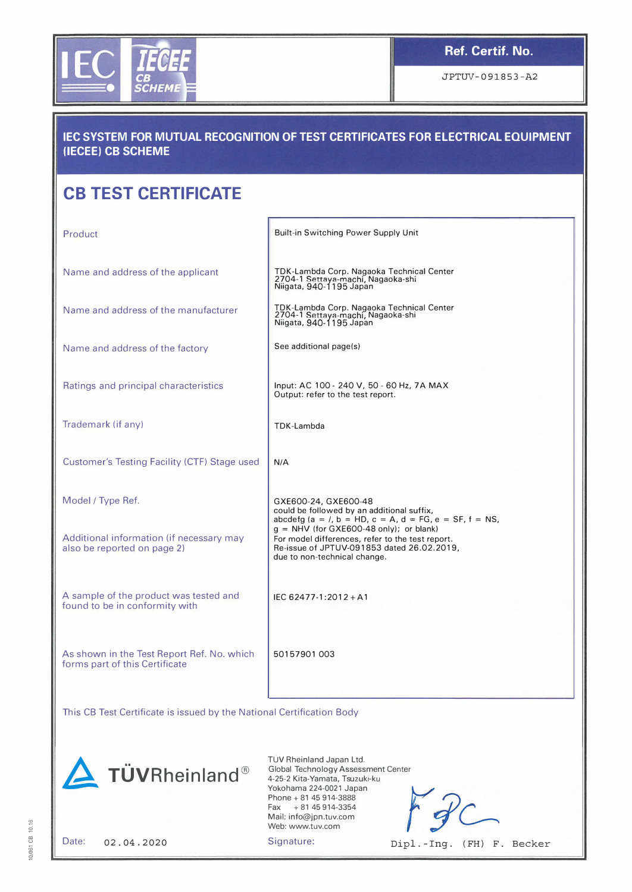

JPTUV-091853-A2

## IEC SYSTEM FOR MUTUAL RECOGNITION OF TEST CERTIFICATES FOR ELECTRICAL EQUIPMENT (IECEE) CB SCHEME

-- - - - -- -- --------

## CB TEST CERTIFICATE

| Product                                                                      | Built-in Switching Power Supply Unit                                                                                                                                                                                                  |  |  |
|------------------------------------------------------------------------------|---------------------------------------------------------------------------------------------------------------------------------------------------------------------------------------------------------------------------------------|--|--|
| Name and address of the applicant                                            | TDK-Lambda Corp. Nagaoka Technical Center<br>2704-1 Settaya-machi, Nagaoka-shi<br>Niigata, 940-1195 Japan                                                                                                                             |  |  |
| Name and address of the manufacturer                                         | TDK-Lambda Corp. Nagaoka Technical Center<br>2704-1 Settaya-machi, Nagaoka-shi<br>Niigata, 940-1195 Japan                                                                                                                             |  |  |
| Name and address of the factory                                              | See additional page(s)                                                                                                                                                                                                                |  |  |
| Ratings and principal characteristics                                        | Input: AC 100 - 240 V, 50 - 60 Hz, 7A MAX<br>Output: refer to the test report.                                                                                                                                                        |  |  |
| Trademark (if any)                                                           | TDK-Lambda                                                                                                                                                                                                                            |  |  |
| Customer's Testing Facility (CTF) Stage used                                 | N/A                                                                                                                                                                                                                                   |  |  |
| Model / Type Ref.                                                            | GXE600-24, GXE600-48<br>could be followed by an additional suffix,                                                                                                                                                                    |  |  |
| Additional information (if necessary may<br>also be reported on page 2)      | abcdefg (a = /, b = HD, c = A, d = FG, e = SF, f = NS,<br>$q = NHV$ (for GXE600-48 only); or blank)<br>For model differences, refer to the test report.<br>Re-issue of JPTUV-091853 dated 26.02.2019,<br>due to non-technical change. |  |  |
| A sample of the product was tested and<br>found to be in conformity with     | IEC 62477-1:2012+A1                                                                                                                                                                                                                   |  |  |
| As shown in the Test Report Ref. No. which<br>forms part of this Certificate | 50157901003                                                                                                                                                                                                                           |  |  |
|                                                                              |                                                                                                                                                                                                                                       |  |  |

This CB Test Certificate is issued by the National Certification Body



TÜV Rheinland Japan Ltd. Global Technology Assessment Center 4-25-2 Kita-Yamata, Tsuzuki-ku Yokohama 224-0021 Japan Phone+ 81 45 914-3888  $Fax + 81 45 914 - 3354$ Mail: info@jpn.tuv.com Web: www.tuv.com

10/061 CB 10.16